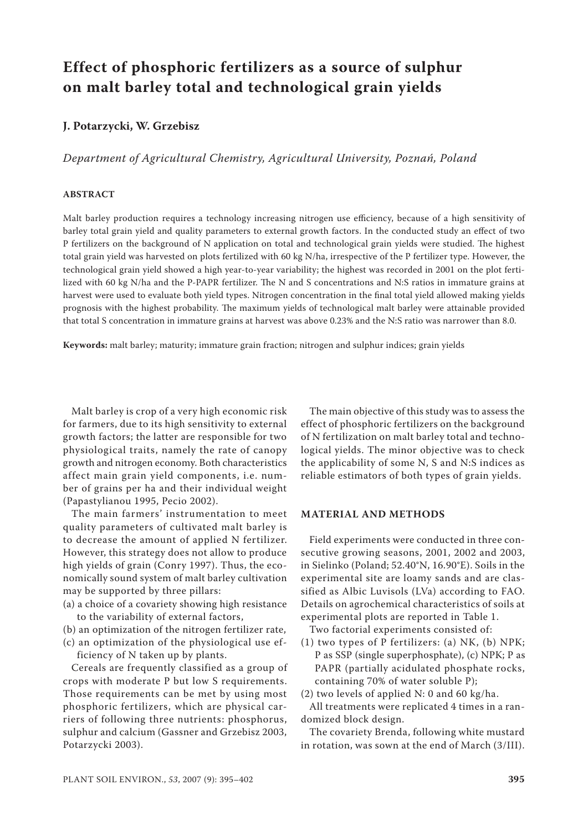# **Effect of phosphoric fertilizers as a source of sulphur on malt barley total and technological grain yields**

# **J. Potarzycki, W. Grzebisz**

# *Department of Agricultural Chemistry, Agricultural University, Poznań, Poland*

### **ABSTRACT**

Malt barley production requires a technology increasing nitrogen use efficiency, because of a high sensitivity of barley total grain yield and quality parameters to external growth factors. In the conducted study an effect of two P fertilizers on the background of N application on total and technological grain yields were studied. The highest total grain yield was harvested on plots fertilized with 60 kg N/ha, irrespective of the P fertilizer type. However, the technological grain yield showed a high year-to-year variability; the highest was recorded in 2001 on the plot fertilized with 60 kg N/ha and the P-PAPR fertilizer. The N and S concentrations and N:S ratios in immature grains at harvest were used to evaluate both yield types. Nitrogen concentration in the final total yield allowed making yields prognosis with the highest probability. The maximum yields of technological malt barley were attainable provided that total S concentration in immature grains at harvest was above 0.23% and the N:S ratio was narrower than 8.0.

**Keywords:** malt barley; maturity; immature grain fraction; nitrogen and sulphur indices; grain yields

Malt barley is crop of a very high economic risk for farmers, due to its high sensitivity to external growth factors; the latter are responsible for two physiological traits, namely the rate of canopy growth and nitrogen economy. Both characteristics affect main grain yield components, i.e. number of grains per ha and their individual weight (Papastylianou 1995, Pecio 2002).

The main farmers' instrumentation to meet quality parameters of cultivated malt barley is to decrease the amount of applied N fertilizer. However, this strategy does not allow to produce high yields of grain (Conry 1997). Thus, the economically sound system of malt barley cultivation may be supported by three pillars:

- (a) a choice of a covariety showing high resistance to the variability of external factors,
- (b) an optimization of the nitrogen fertilizer rate,
- (c) an optimization of the physiological use ef
	- ficiency of N taken up by plants.

Cereals are frequently classified as a group of crops with moderate P but low S requirements. Those requirements can be met by using most phosphoric fertilizers, which are physical carriers of following three nutrients: phosphorus, sulphur and calcium (Gassner and Grzebisz 2003, Potarzycki 2003).

The main objective of this study was to assess the effect of phosphoric fertilizers on the background of N fertilization on malt barley total and technological yields. The minor objective was to check the applicability of some N, S and N:S indices as reliable estimators of both types of grain yields.

#### **MATERIAL AND METHODS**

Field experiments were conducted in three consecutive growing seasons, 2001, 2002 and 2003, in Sielinko (Poland; 52.40°N, 16.90°E). Soils in the experimental site are loamy sands and are classified as Albic Luvisols (LVa) according to FAO. Details on agrochemical characteristics of soils at experimental plots are reported in Table 1.

Two factorial experiments consisted of:

(1) two types of P fertilizers: (a) NK, (b) NPK; P as SSP (single superphosphate), (c) NPK; P as PAPR (partially acidulated phosphate rocks, containing 70% of water soluble P);

(2) two levels of applied N: 0 and 60 kg/ha.

All treatments were replicated 4 times in a randomized block design.

The covariety Brenda, following white mustard in rotation, was sown at the end of March (3/III).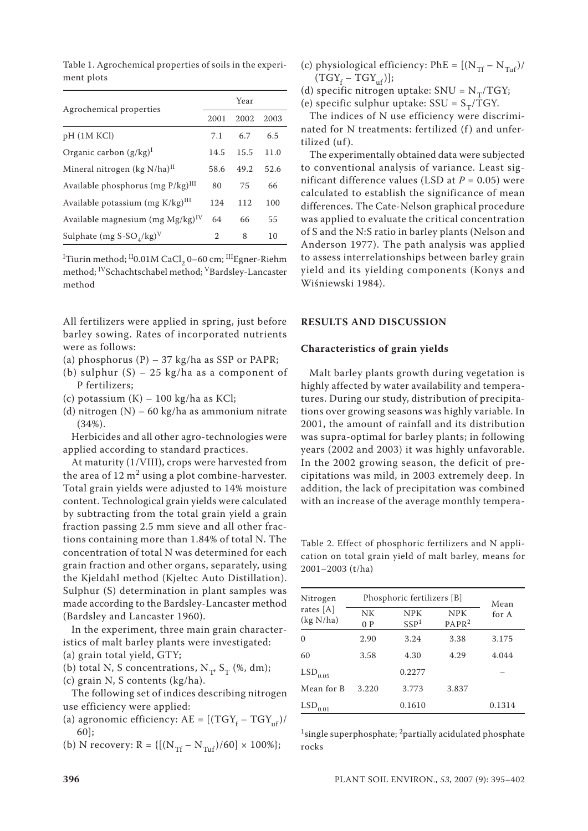Table 1. Agrochemical properties of soils in the experiment plots

| Agrochemical properties                          | Year           |      |      |  |
|--------------------------------------------------|----------------|------|------|--|
|                                                  | 2001           | 2002 | 2003 |  |
| pH (1M KCl)                                      | 7.1            | 6.7  | 6.5  |  |
| Organic carbon $(g/kg)^{1}$                      | 14.5           | 15.5 | 11.0 |  |
| Mineral nitrogen (kg N/ha) <sup>II</sup>         | 58.6           | 49.2 | 52.6 |  |
| Available phosphorus (mg P/kg) <sup>III</sup>    | 80             | 75   | 66   |  |
| Available potassium (mg $K/kg$ ) $^{III}$        | 124            | 112  | 100  |  |
| Available magnesium (mg $Mg/kg$ <sup>IV</sup>    | 64             | 66   | 55   |  |
| Sulphate (mg S-SO <sub>4</sub> /kg) <sup>V</sup> | $\mathfrak{D}$ | 8    | 10   |  |

<sup>I</sup>Tiurin method; <sup>II</sup>0.01M CaCl<sub>2</sub> 0–60 cm; <sup>III</sup>Egner-Riehm method; IVSchachtschabel method; VBardsley-Lancaster method

All fertilizers were applied in spring, just before barley sowing. Rates of incorporated nutrients were as follows:

- (a) phosphorus (P) 37 kg/ha as SSP or PAPR;
- (b) sulphur  $(S)$  25 kg/ha as a component of P fertilizers;
- (c) potassium  $(K) 100$  kg/ha as KCl;
- (d) nitrogen (N) 60 kg/ha as ammonium nitrate (34%).

Herbicides and all other agro-technologies were applied according to standard practices.

At maturity (1/VIII), crops were harvested from the area of  $12 \text{ m}^2$  using a plot combine-harvester. Total grain yields were adjusted to 14% moisture content. Technological grain yields were calculated by subtracting from the total grain yield a grain fraction passing 2.5 mm sieve and all other fractions containing more than 1.84% of total N. The concentration of total N was determined for each grain fraction and other organs, separately, using the Kjeldahl method (Kjeltec Auto Distillation). Sulphur (S) determination in plant samples was made according to the Bardsley-Lancaster method (Bardsley and Lancaster 1960).

In the experiment, three main grain characteristics of malt barley plants were investigated: (a) grain total yield, GTY;

(b) total N, S concentrations,  $N_T S_T$  (%, dm); (c) grain N, S contents (kg/ha).

The following set of indices describing nitrogen use efficiency were applied:

- (a) agronomic efficiency:  $AE = [(TGY_f TGY_{uf})/T$ 60];
- (b) N recovery: R = { $[(N_{Tf} N_{Tuf})/60] \times 100\%$ };

(c) physiological efficiency: PhE =  $[(N_{Tf} - N_{Tuf})/$  $(TGY_f - TGY_{uf})$ ];

(d) specific nitrogen uptake: SNU =  $N_T/TGY$ ;

(e) specific sulphur uptake: SSU =  $S_T/TGY$ .

The indices of N use efficiency were discriminated for N treatments: fertilized (f) and unfertilized (uf).

The experimentally obtained data were subjected to conventional analysis of variance. Least significant difference values (LSD at *P* = 0.05) were calculated to establish the significance of mean differences. The Cate-Nelson graphical procedure was applied to evaluate the critical concentration of S and the N:S ratio in barley plants (Nelson and Anderson 1977). The path analysis was applied to assess interrelationships between barley grain yield and its yielding components (Konys and Wiśniewski 1984).

### **RESULTS AND DISCUSSION**

#### **Characteristics of grain yields**

Malt barley plants growth during vegetation is highly affected by water availability and temperatures. During our study, distribution of precipitations over growing seasons was highly variable. In 2001, the amount of rainfall and its distribution was supra-optimal for barley plants; in following years (2002 and 2003) it was highly unfavorable. In the 2002 growing season, the deficit of precipitations was mild, in 2003 extremely deep. In addition, the lack of precipitation was combined with an increase of the average monthly tempera-

Table 2. Effect of phosphoric fertilizers and N application on total grain yield of malt barley, means for 2001–2003 (t/ha)

| Nitrogen               |           | Phosphoric fertilizers [B]     |                                 | Mean   |  |  |
|------------------------|-----------|--------------------------------|---------------------------------|--------|--|--|
| rates [A]<br>(kg N/ha) | NK<br>0 P | <b>NPK</b><br>SSP <sup>1</sup> | <b>NPK</b><br>PAPR <sup>2</sup> | for A  |  |  |
| 0                      | 2.90      | 3.24                           | 3.38                            | 3.175  |  |  |
| 60                     | 3.58      | 4.30                           | 4.29                            | 4.044  |  |  |
| $LSD$ <sub>0.05</sub>  |           | 0.2277                         |                                 |        |  |  |
| Mean for B             | 3.220     | 3.773                          | 3.837                           |        |  |  |
| $LSD_{0.01}$           |           | 0.1610                         |                                 | 0.1314 |  |  |

<sup>1</sup>single superphosphate; <sup>2</sup>partially acidulated phosphate rocks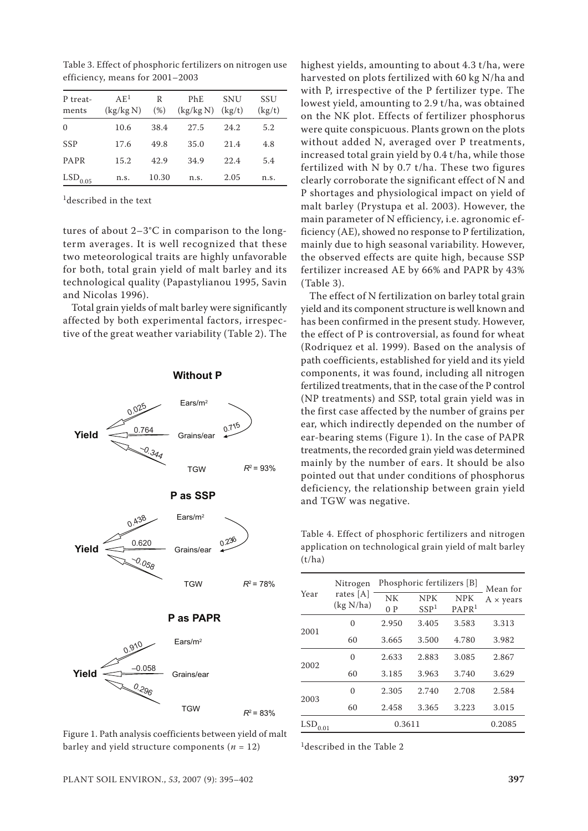| P treat-<br>ments | A E <sup>1</sup><br>(kg/kg N) | R<br>(% ) | PhE.<br>(kg/kg N) | SNU<br>(kg/t) | SSU<br>(kg/t) |
|-------------------|-------------------------------|-----------|-------------------|---------------|---------------|
| $\Omega$          | 10.6                          | 38.4      | 27.5              | 24.2          | 5.2           |
| <b>SSP</b>        | 17.6                          | 49.8      | 35.0              | 21.4          | 4.8           |
| <b>PAPR</b>       | 15.2                          | 42.9      | 34.9              | 22.4          | 5.4           |
| $LSD_{0.05}$      | n.S.                          | 10.30     | n.s.              | 2.05          | n.s.          |

Table 3. Effect of phosphoric fertilizers on nitrogen use efficiency, means for 2001–2003

<sup>1</sup>described in the text

tures of about 2–3°C in comparison to the longterm averages. It is well recognized that these two meteorological traits are highly unfavorable for both, total grain yield of malt barley and its technological quality (Papastylianou 1995, Savin and Nicolas 1996).

Total grain yields of malt barley were significantly affected by both experimental factors, irrespective of the great weather variability (Table 2). The



Figure 1. Path analysis coefficients between yield of malt barley and yield structure components  $(n = 12)$ 

highest yields, amounting to about 4.3 t/ha, were harvested on plots fertilized with 60 kg N/ha and with P, irrespective of the P fertilizer type. The lowest yield, amounting to 2.9 t/ha, was obtained on the NK plot. Effects of fertilizer phosphorus were quite conspicuous. Plants grown on the plots without added N, averaged over P treatments, increased total grain yield by 0.4 t/ha, while those fertilized with N by 0.7 t/ha. These two figures clearly corroborate the significant effect of N and P shortages and physiological impact on yield of malt barley (Prystupa et al. 2003). However, the main parameter of N efficiency, i.e. agronomic efficiency (AE), showed no response to P fertilization, mainly due to high seasonal variability. However, the observed effects are quite high, because SSP fertilizer increased AE by 66% and PAPR by 43% (Table 3).

The effect of N fertilization on barley total grain yield and its component structure is well known and has been confirmed in the present study. However, the effect of P is controversial, as found for wheat (Rodriquez et al. 1999). Based on the analysis of path coefficients, established for yield and its yield components, it was found, including all nitrogen fertilized treatments, that in the case of the P control (NP treatments) and SSP, total grain yield was in the first case affected by the number of grains per ear, which indirectly depended on the number of ear-bearing stems (Figure 1). In the case of PAPR treatments, the recorded grain yield was determined mainly by the number of ears. It should be also pointed out that under conditions of phosphorus deficiency, the relationship between grain yield and TGW was negative.

Table 4. Effect of phosphoric fertilizers and nitrogen application on technological grain yield of malt barley  $(t/ha)$ 

|             | Nitrogen                 | Phosphoric fertilizers [B] | Mean for                       |                                 |                         |
|-------------|--------------------------|----------------------------|--------------------------------|---------------------------------|-------------------------|
| Year        | rates $[A]$<br>(kg N/ha) | NK<br>0P                   | <b>NPK</b><br>SSP <sup>1</sup> | <b>NPK</b><br>PAPR <sup>1</sup> | $A \times \text{years}$ |
|             | 0                        | 2.950                      | 3.405                          | 3.583                           | 3.313                   |
| 2001        | 60                       | 3.665                      | 3.500                          | 4.780                           | 3.982                   |
| 2002        | $\Omega$                 | 2.633                      | 2.883                          | 3.085                           | 2.867                   |
|             | 60                       | 3.185                      | 3.963                          | 3.740                           | 3.629                   |
| 2003        | $\theta$                 | 2.305                      | 2.740                          | 2.708                           | 2.584                   |
|             | 60                       | 2.458                      | 3.365                          | 3.223                           | 3.015                   |
| LSD<br>0.01 |                          | 0.3611                     | 0.2085                         |                                 |                         |

<sup>1</sup>described in the Table 2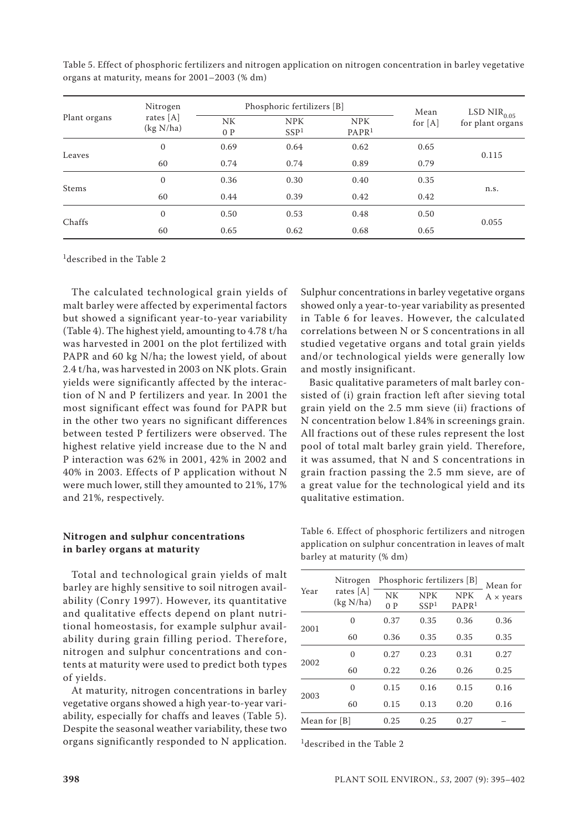| Plant organs | Nitrogen                 |          | Phosphoric fertilizers [B]     |                                 |                   | LSD $\rm{NIR}_{0.05}$ |
|--------------|--------------------------|----------|--------------------------------|---------------------------------|-------------------|-----------------------|
|              | rates $[A]$<br>(kg N/ha) | NK<br>0P | <b>NPK</b><br>SSP <sup>1</sup> | <b>NPK</b><br>PAPR <sup>1</sup> | Mean<br>for $[A]$ | for plant organs      |
|              | $\boldsymbol{0}$         | 0.69     | 0.64                           | 0.62                            | 0.65              |                       |
| Leaves       | 60                       | 0.74     | 0.74                           | 0.89                            | 0.79              | 0.115                 |
|              | $\mathbf{0}$             | 0.36     | 0.30                           | 0.40                            | 0.35              | n.s.                  |
| <b>Stems</b> | 60                       | 0.44     | 0.39                           | 0.42                            | 0.42              |                       |
| Chaffs       | $\mathbf{0}$             | 0.50     | 0.53                           | 0.48                            | 0.50              |                       |
|              | 60                       | 0.65     | 0.62                           | 0.68                            | 0.65              | 0.055                 |

Table 5. Effect of phosphoric fertilizers and nitrogen application on nitrogen concentration in barley vegetative organs at maturity, means for 2001–2003 (% dm)

1described in the Table 2

The calculated technological grain yields of malt barley were affected by experimental factors but showed a significant year-to-year variability (Table 4). The highest yield, amounting to 4.78 t/ha was harvested in 2001 on the plot fertilized with PAPR and 60 kg N/ha; the lowest yield, of about 2.4 t/ha, was harvested in 2003 on NK plots. Grain yields were significantly affected by the interaction of N and P fertilizers and year. In 2001 the most significant effect was found for PAPR but in the other two years no significant differences between tested P fertilizers were observed. The highest relative yield increase due to the N and P interaction was 62% in 2001, 42% in 2002 and 40% in 2003. Effects of P application without N were much lower, still they amounted to 21%, 17% and 21%, respectively.

## **Nitrogen and sulphur concentrations in barley organs at maturity**

Total and technological grain yields of malt barley are highly sensitive to soil nitrogen availability (Conry 1997). However, its quantitative and qualitative effects depend on plant nutritional homeostasis, for example sulphur availability during grain filling period. Therefore, nitrogen and sulphur concentrations and contents at maturity were used to predict both types of yields.

At maturity, nitrogen concentrations in barley vegetative organs showed a high year-to-year variability, especially for chaffs and leaves (Table 5). Despite the seasonal weather variability, these two organs significantly responded to N application.

Sulphur concentrations in barley vegetative organs showed only a year-to-year variability as presented in Table 6 for leaves. However, the calculated correlations between N or S concentrations in all studied vegetative organs and total grain yields and/or technological yields were generally low and mostly insignificant.

Basic qualitative parameters of malt barley consisted of (i) grain fraction left after sieving total grain yield on the 2.5 mm sieve (ii) fractions of N concentration below 1.84% in screenings grain. All fractions out of these rules represent the lost pool of total malt barley grain yield. Therefore, it was assumed, that N and S concentrations in grain fraction passing the 2.5 mm sieve, are of a great value for the technological yield and its qualitative estimation.

Table 6. Effect of phosphoric fertilizers and nitrogen application on sulphur concentration in leaves of malt barley at maturity (% dm)

|              | Nitrogen                 | Phosphoric fertilizers [B] | Mean for                       |                                 |                         |
|--------------|--------------------------|----------------------------|--------------------------------|---------------------------------|-------------------------|
| Year         | rates $[A]$<br>(kg N/ha) | NK<br>0P                   | <b>NPK</b><br>SSP <sup>1</sup> | <b>NPK</b><br>PAPR <sup>1</sup> | $A \times \text{years}$ |
|              | $\theta$                 | 0.37                       | 0.35                           | 0.36                            | 0.36                    |
| 2001         | 60                       | 0.36                       | 0.35                           | 0.35                            | 0.35                    |
| 2002         | 0                        | 0.27                       | 0.23                           | 0.31                            | 0.27                    |
|              | 60                       | 0.22                       | 0.26                           | 0.26                            | 0.25                    |
| 2003         | $\Omega$                 | 0.15                       | 0.16                           | 0.15                            | 0.16                    |
|              | 60                       | 0.15                       | 0.13                           | 0.20                            | 0.16                    |
| Mean for [B] |                          | 0.25                       | 0.25                           | 0.27                            |                         |

1described in the Table 2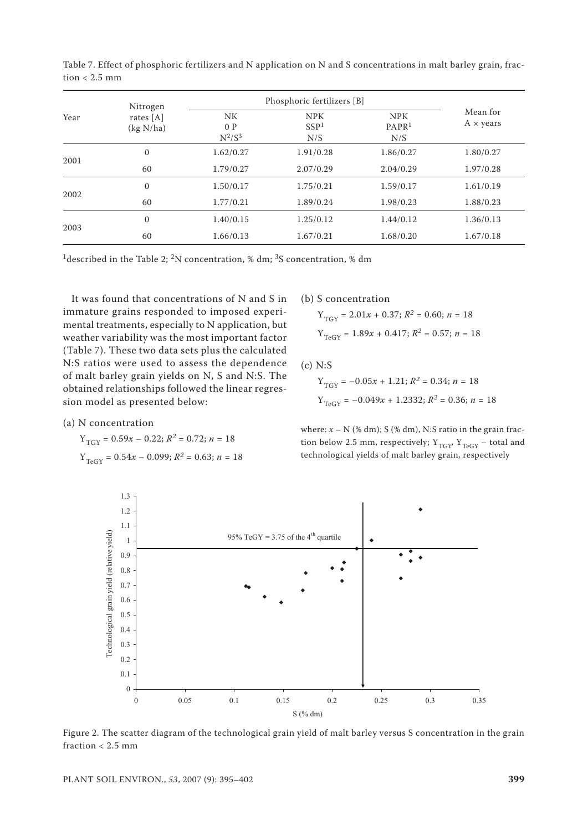Table 7. Effect of phosphoric fertilizers and N application on N and S concentrations in malt barley grain, fraction < 2.5 mm

| Year | Nitrogen                 | Phosphoric fertilizers [B]   |                                       |                                        |                                     |
|------|--------------------------|------------------------------|---------------------------------------|----------------------------------------|-------------------------------------|
|      | rates $[A]$<br>(kg N/ha) | <b>NK</b><br>0P<br>$N^2/S^3$ | <b>NPK</b><br>SSP <sup>1</sup><br>N/S | <b>NPK</b><br>PAPR <sup>1</sup><br>N/S | Mean for<br>$A \times \text{years}$ |
| 2001 | $\mathbf{0}$             | 1.62/0.27                    | 1.91/0.28                             | 1.86/0.27                              | 1.80/0.27                           |
|      | 60                       | 1.79/0.27                    | 2.07/0.29                             | 2.04/0.29                              | 1.97/0.28                           |
| 2002 | $\mathbf{0}$             | 1.50/0.17                    | 1.75/0.21                             | 1.59/0.17                              | 1.61/0.19                           |
|      | 60                       | 1.77/0.21                    | 1.89/0.24                             | 1.98/0.23                              | 1.88/0.23                           |
| 2003 | $\mathbf{0}$             | 1.40/0.15                    | 1.25/0.12                             | 1.44/0.12                              | 1.36/0.13                           |
|      | 60                       | 1.66/0.13                    | 1.67/0.21                             | 1.68/0.20                              | 1.67/0.18                           |

<sup>1</sup>described in the Table 2; <sup>2</sup>N concentration, % dm; <sup>3</sup>S concentration, % dm

It was found that concentrations of N and S in immature grains responded to imposed experimental treatments, especially to N application, but weather variability was the most important factor (Table 7). These two data sets plus the calculated N:S ratios were used to assess the dependence of malt barley grain yields on N, S and N:S. The obtained relationships followed the linear regression model as presented below:

(a) N concentration

$$
Y_{TGY} = 0.59x - 0.22; R^2 = 0.72; n = 18
$$
  

$$
Y_{TeGY} = 0.54x - 0.099; R^2 = 0.63; n = 18
$$

(b) S concentration

$$
Y_{TGY} = 2.01x + 0.37; R^2 = 0.60; n = 18
$$
  

$$
Y_{TeGY} = 1.89x + 0.417; R^2 = 0.57; n = 18
$$

(c) N:S

$$
Y_{TGY} = -0.05x + 1.21; R^2 = 0.34; n = 18
$$
  

$$
Y_{TeGY} = -0.049x + 1.2332; R^2 = 0.36; n = 18
$$

where:  $x - N$  (% dm); S (% dm), N:S ratio in the grain fraction below 2.5 mm, respectively;  $Y_{TGY}$ ,  $Y_{TeGY}$  – total and technological yields of malt barley grain, respectively



Figure 2. The scatter diagram of the technological grain yield of malt barley versus S concentration in the grain fraction < 2.5 mm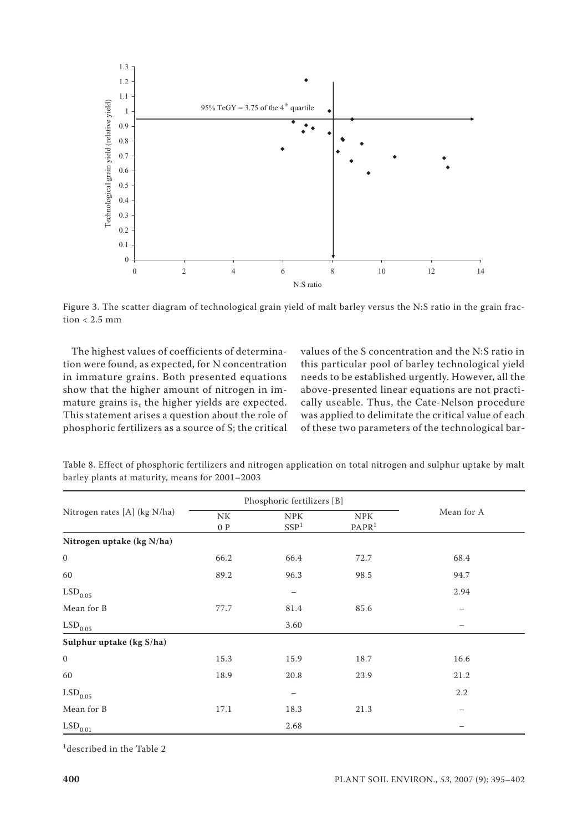

Figure 3. The scatter diagram of technological grain yield of malt barley versus the N:S ratio in the grain fraction  $< 2.5$  mm

The highest values of coefficients of determination were found, as expected, for N concentration in immature grains. Both presented equations show that the higher amount of nitrogen in immature grains is, the higher yields are expected. This statement arises a question about the role of phosphoric fertilizers as a source of S; the critical values of the S concentration and the N:S ratio in this particular pool of barley technological yield needs to be established urgently. However, all the above-presented linear equations are not practically useable. Thus, the Cate-Nelson procedure was applied to delimitate the critical value of each of these two parameters of the technological bar-

| Nitrogen rates [A] (kg N/ha) | Phosphoric fertilizers [B] |                                |                                 |                          |
|------------------------------|----------------------------|--------------------------------|---------------------------------|--------------------------|
|                              | NK<br>0P                   | <b>NPK</b><br>SSP <sup>1</sup> | <b>NPK</b><br>PAPR <sup>1</sup> | Mean for A               |
| Nitrogen uptake (kg N/ha)    |                            |                                |                                 |                          |
| $\boldsymbol{0}$             | 66.2                       | 66.4                           | 72.7                            | 68.4                     |
| 60                           | 89.2                       | 96.3                           | 98.5                            | 94.7                     |
| $\mathrm{LSD}_{0.05}$        |                            |                                |                                 | 2.94                     |
| Mean for B                   | 77.7                       | 81.4                           | 85.6                            | $\overline{\phantom{m}}$ |
| $\mathrm{LSD}_{0.05}$        |                            | 3.60                           |                                 | —                        |
| Sulphur uptake (kg S/ha)     |                            |                                |                                 |                          |
| $\boldsymbol{0}$             | 15.3                       | 15.9                           | 18.7                            | 16.6                     |
| 60                           | 18.9                       | 20.8                           | 23.9                            | 21.2                     |
| $\mathrm{LSD}_{0.05}$        |                            |                                |                                 | 2.2                      |
| Mean for B                   | 17.1                       | 18.3                           | 21.3                            |                          |
| $\mathrm{LSD}_{0.01}$        |                            | 2.68                           |                                 |                          |

Table 8. Effect of phosphoric fertilizers and nitrogen application on total nitrogen and sulphur uptake by malt barley plants at maturity, means for 2001–2003

1described in the Table 2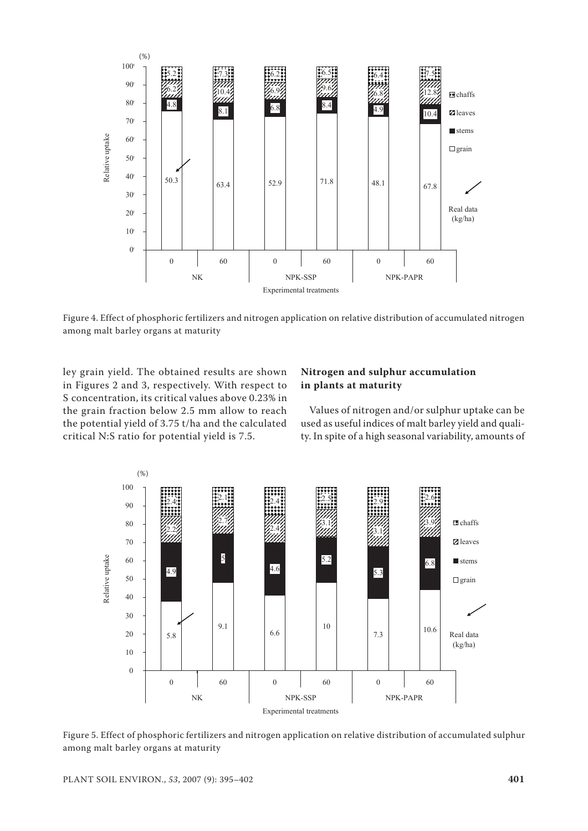

Figure 4. Effect of phosphoric fertilizers and nitrogen application on relative distribution of accumulated nitrogen among malt barley organs at maturity

ley grain yield. The obtained results are shown in Figures 2 and 3, respectively. With respect to S concentration, its critical values above 0.23% in the grain fraction below 2.5 mm allow to reach the potential yield of 3.75 t/ha and the calculated critical N:S ratio for potential yield is 7.5.

## **Nitrogen and sulphur accumulation in plants at maturity**

Values of nitrogen and/or sulphur uptake can be used as useful indices of malt barley yield and quality. In spite of a high seasonal variability, amounts of



Figure 5. Effect of phosphoric fertilizers and nitrogen application on relative distribution of accumulated sulphur among malt barley organs at maturity